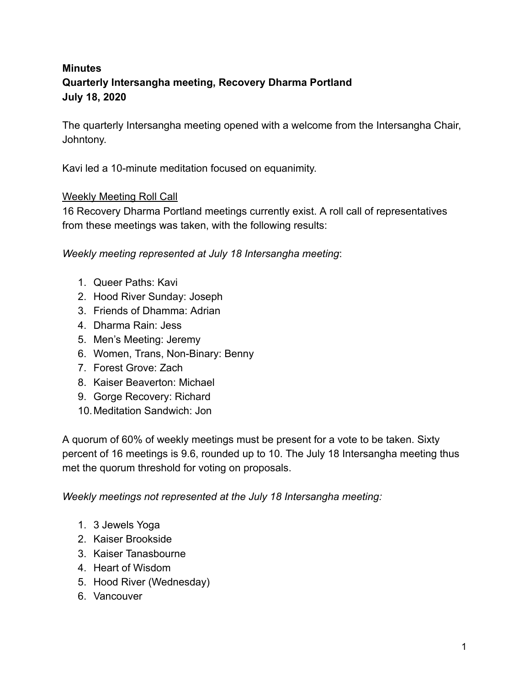## **Minutes Quarterly Intersangha meeting, Recovery Dharma Portland July 18, 2020**

The quarterly Intersangha meeting opened with a welcome from the Intersangha Chair, Johntony.

Kavi led a 10-minute meditation focused on equanimity.

### Weekly Meeting Roll Call

16 Recovery Dharma Portland meetings currently exist. A roll call of representatives from these meetings was taken, with the following results:

*Weekly meeting represented at July 18 Intersangha meeting* :

- 1. Queer Paths: Kavi
- 2. Hood River Sunday: Joseph
- 3. Friends of Dhamma: Adrian
- 4. Dharma Rain: Jess
- 5. Men's Meeting: Jeremy
- 6. Women, Trans, Non-Binary: Benny
- 7. Forest Grove: Zach
- 8. Kaiser Beaverton: Michael
- 9. Gorge Recovery: Richard
- 10.Meditation Sandwich: Jon

A quorum of 60% of weekly meetings must be present for a vote to be taken. Sixty percent of 16 meetings is 9.6, rounded up to 10. The July 18 Intersangha meeting thus met the quorum threshold for voting on proposals.

*Weekly meetings not represented at the July 18 Intersangha meeting:* 

- 1. 3 Jewels Yoga
- 2. Kaiser Brookside
- 3. Kaiser Tanasbourne
- 4. Heart of Wisdom
- 5. Hood River (Wednesday)
- 6. Vancouver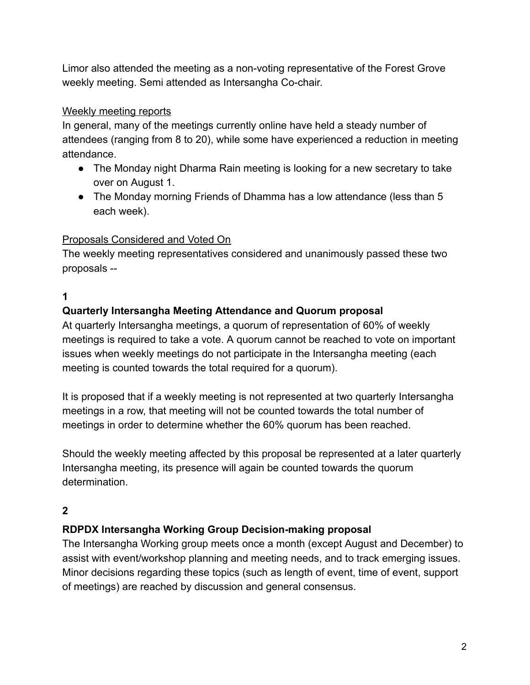Limor also attended the meeting as a non-voting representative of the Forest Grove weekly meeting. Semi attended as Intersangha Co-chair.

### Weekly meeting reports

In general, many of the meetings currently online have held a steady number of attendees (ranging from 8 to 20), while some have experienced a reduction in meeting attendance.

- The Monday night Dharma Rain meeting is looking for a new secretary to take over on August 1.
- The Monday morning Friends of Dhamma has a low attendance (less than 5 each week).

# Proposals Considered and Voted On

The weekly meeting representatives considered and unanimously passed these two proposals --

### **1**

## **Quarterly Intersangha Meeting Attendance and Quorum proposal**

At quarterly Intersangha meetings, a quorum of representation of 60% of weekly meetings is required to take a vote. A quorum cannot be reached to vote on important issues when weekly meetings do not participate in the Intersangha meeting (each meeting is counted towards the total required for a quorum).

It is proposed that if a weekly meeting is not represented at two quarterly Intersangha meetings in a row, that meeting will not be counted towards the total number of meetings in order to determine whether the 60% quorum has been reached.

Should the weekly meeting affected by this proposal be represented at a later quarterly Intersangha meeting, its presence will again be counted towards the quorum determination.

## **2**

### **RDPDX Intersangha Working Group Decision-making proposal**

The Intersangha Working group meets once a month (except August and December) to assist with event/workshop planning and meeting needs, and to track emerging issues. Minor decisions regarding these topics (such as length of event, time of event, support of meetings) are reached by discussion and general consensus.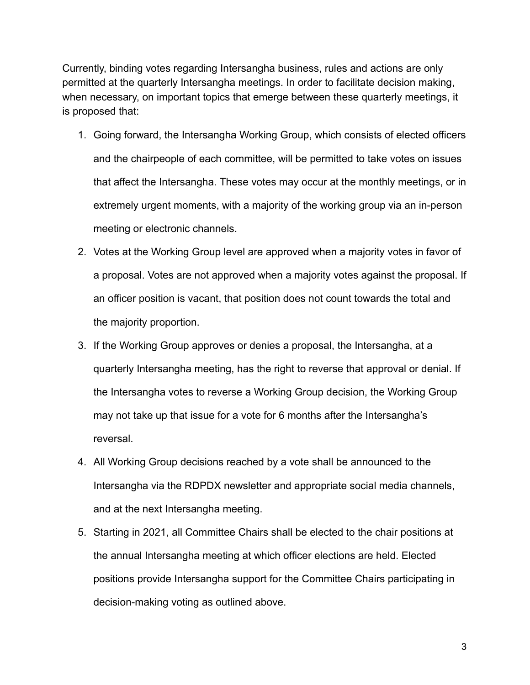Currently, binding votes regarding Intersangha business, rules and actions are only permitted at the quarterly Intersangha meetings. In order to facilitate decision making, when necessary, on important topics that emerge between these quarterly meetings, it is proposed that:

- 1. Going forward, the Intersangha Working Group, which consists of elected officers and the chairpeople of each committee, will be permitted to take votes on issues that affect the Intersangha. These votes may occur at the monthly meetings, or in extremely urgent moments, with a majority of the working group via an in-person meeting or electronic channels.
- 2. Votes at the Working Group level are approved when a majority votes in favor of a proposal. Votes are not approved when a majority votes against the proposal. If an officer position is vacant, that position does not count towards the total and the majority proportion.
- 3. If the Working Group approves or denies a proposal, the Intersangha, at a quarterly Intersangha meeting, has the right to reverse that approval or denial. If the Intersangha votes to reverse a Working Group decision, the Working Group may not take up that issue for a vote for 6 months after the Intersangha's reversal.
- 4. All Working Group decisions reached by a vote shall be announced to the Intersangha via the RDPDX newsletter and appropriate social media channels, and at the next Intersangha meeting.
- 5. Starting in 2021, all Committee Chairs shall be elected to the chair positions at the annual Intersangha meeting at which officer elections are held. Elected positions provide Intersangha support for the Committee Chairs participating in decision-making voting as outlined above.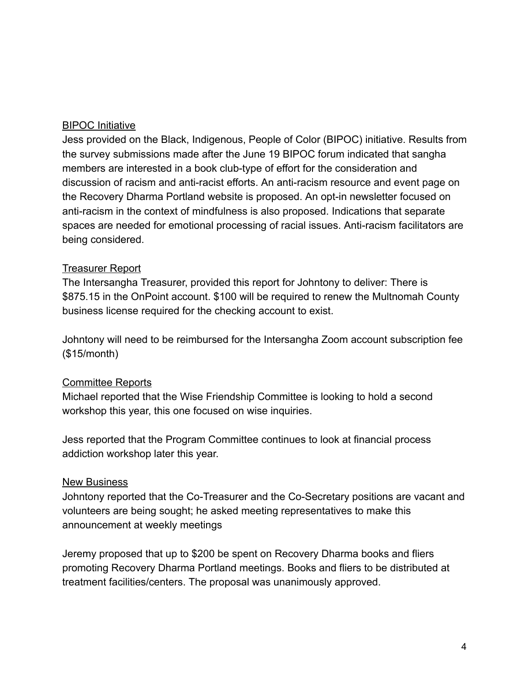#### BIPOC Initiative

Jess provided on the Black, Indigenous, People of Color (BIPOC) initiative. Results from the survey submissions made after the June 19 BIPOC forum indicated that sangha members are interested in a book club-type of effort for the consideration and discussion of racism and anti-racist efforts. An anti-racism resource and event page on the Recovery Dharma Portland website is proposed. An opt-in newsletter focused on anti-racism in the context of mindfulness is also proposed. Indications that separate spaces are needed for emotional processing of racial issues. Anti-racism facilitators are being considered.

#### Treasurer Report

The Intersangha Treasurer, provided this report for Johntony to deliver: There is \$875.15 in the OnPoint account. \$100 will be required to renew the Multnomah County business license required for the checking account to exist.

Johntony will need to be reimbursed for the Intersangha Zoom account subscription fee (\$15/month)

#### Committee Reports

Michael reported that the Wise Friendship Committee is looking to hold a second workshop this year, this one focused on wise inquiries.

Jess reported that the Program Committee continues to look at financial process addiction workshop later this year.

#### New Business

Johntony reported that the Co-Treasurer and the Co-Secretary positions are vacant and volunteers are being sought; he asked meeting representatives to make this announcement at weekly meetings

Jeremy proposed that up to \$200 be spent on Recovery Dharma books and fliers promoting Recovery Dharma Portland meetings. Books and fliers to be distributed at treatment facilities/centers. The proposal was unanimously approved.